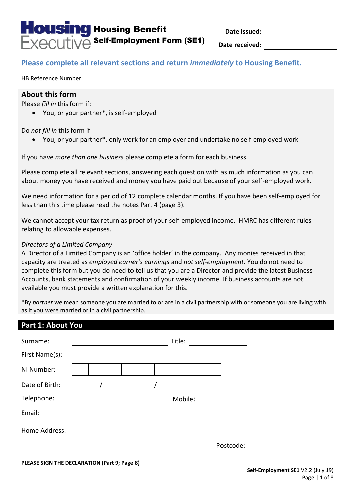

**Date issued:**

**Date received:**

# **Please complete all relevant sections and return** *immediately* **to Housing Benefit.**

HB Reference Number:

### **About this form**

Please *fill in* this form if:

You, or your partner\*, is self-employed

Do *not fill in* this form if

You, or your partner\*, only work for an employer and undertake no self-employed work

If you have *more than one business* please complete a form for each business.

Please complete all relevant sections, answering each question with as much information as you can about money you have received and money you have paid out because of your self-employed work.

We need information for a period of 12 complete calendar months. If you have been self-employed for less than this time please read the notes Part 4 (page 3).

We cannot accept your tax return as proof of your self-employed income. HMRC has different rules relating to allowable expenses.

### *Directors of a Limited Company*

A Director of a Limited Company is an 'office holder' in the company. Any monies received in that capacity are treated as *employed earner's earnings* and *not self-employment*. You do not need to complete this form but you do need to tell us that you are a Director and provide the latest Business Accounts, bank statements and confirmation of your weekly income. If business accounts are not available you must provide a written explanation for this.

\*By *partner* we mean someone you are married to or are in a civil partnership with or someone you are living with as if you were married or in a civil partnership.

| Part 1: About You |  |  |        |         |           |  |  |
|-------------------|--|--|--------|---------|-----------|--|--|
| Surname:          |  |  | Title: |         |           |  |  |
| First Name(s):    |  |  |        |         |           |  |  |
| NI Number:        |  |  |        |         |           |  |  |
| Date of Birth:    |  |  |        |         |           |  |  |
| Telephone:        |  |  |        | Mobile: |           |  |  |
| Email:            |  |  |        |         |           |  |  |
| Home Address:     |  |  |        |         |           |  |  |
|                   |  |  |        |         | Postcode: |  |  |
|                   |  |  |        |         |           |  |  |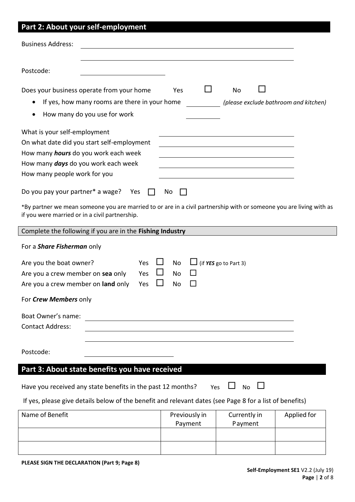| Part 2: About your self-employment                                                                                                                                                                               |                          |                                             |             |
|------------------------------------------------------------------------------------------------------------------------------------------------------------------------------------------------------------------|--------------------------|---------------------------------------------|-------------|
| <b>Business Address:</b>                                                                                                                                                                                         |                          |                                             |             |
| Postcode:                                                                                                                                                                                                        |                          |                                             |             |
| Does your business operate from your home<br>If yes, how many rooms are there in your home<br>$\bullet$<br>How many do you use for work<br>$\bullet$                                                             | Yes                      | No<br>(please exclude bathroom and kitchen) |             |
| What is your self-employment<br>On what date did you start self-employment<br>How many <i>hours</i> do you work each week<br>How many <i>days</i> do you work each week<br>How many people work for you          |                          |                                             |             |
| Do you pay your partner* a wage?<br>Yes<br>*By partner we mean someone you are married to or are in a civil partnership with or someone you are living with as<br>if you were married or in a civil partnership. | No                       |                                             |             |
| Complete the following if you are in the Fishing Industry                                                                                                                                                        |                          |                                             |             |
| For a <b>Share Fisherman</b> only                                                                                                                                                                                |                          |                                             |             |
| Are you the boat owner?<br>Yes<br>Are you a crew member on sea only<br>Yes<br>Yes<br>Are you a crew member on land only                                                                                          | No<br>No<br><b>No</b>    | (if YES go to Part 3)                       |             |
| For Crew Members only                                                                                                                                                                                            |                          |                                             |             |
| Boat Owner's name:<br><b>Contact Address:</b>                                                                                                                                                                    |                          |                                             |             |
| Postcode:                                                                                                                                                                                                        |                          |                                             |             |
| Part 3: About state benefits you have received                                                                                                                                                                   |                          |                                             |             |
| Have you received any state benefits in the past 12 months?                                                                                                                                                      | Yes                      | <b>No</b>                                   |             |
| If yes, please give details below of the benefit and relevant dates (see Page 8 for a list of benefits)                                                                                                          |                          |                                             |             |
| Name of Benefit                                                                                                                                                                                                  | Previously in<br>Payment | Currently in<br>Payment                     | Applied for |
|                                                                                                                                                                                                                  |                          |                                             |             |

**PLEASE SIGN THE DECLARATION (Part 9; Page 8)**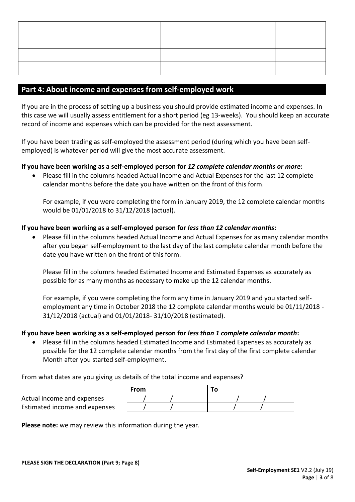## **Part 4: About income and expenses from self-employed work**

If you are in the process of setting up a business you should provide estimated income and expenses. In this case we will usually assess entitlement for a short period (eg 13-weeks). You should keep an accurate record of income and expenses which can be provided for the next assessment.

If you have been trading as self-employed the assessment period (during which you have been selfemployed) is whatever period will give the most accurate assessment.

### **If you have been working as a self-employed person for** *12 complete calendar months or more***:**

 Please fill in the columns headed Actual Income and Actual Expenses for the last 12 complete calendar months before the date you have written on the front of this form.

For example, if you were completing the form in January 2019, the 12 complete calendar months would be 01/01/2018 to 31/12/2018 (actual).

### **If you have been working as a self-employed person for** *less than 12 calendar months***:**

 Please fill in the columns headed Actual Income and Actual Expenses for as many calendar months after you began self-employment to the last day of the last complete calendar month before the date you have written on the front of this form.

Please fill in the columns headed Estimated Income and Estimated Expenses as accurately as possible for as many months as necessary to make up the 12 calendar months.

For example, if you were completing the form any time in January 2019 and you started selfemployment any time in October 2018 the 12 complete calendar months would be 01/11/2018 - 31/12/2018 (actual) and 01/01/2018- 31/10/2018 (estimated).

### **If you have been working as a self-employed person for** *less than 1 complete calendar month***:**

 Please fill in the columns headed Estimated Income and Estimated Expenses as accurately as possible for the 12 complete calendar months from the first day of the first complete calendar Month after you started self-employment.

From what dates are you giving us details of the total income and expenses?

|                               | From |  |  |  |
|-------------------------------|------|--|--|--|
| Actual income and expenses    |      |  |  |  |
| Estimated income and expenses |      |  |  |  |

**Please note:** we may review this information during the year.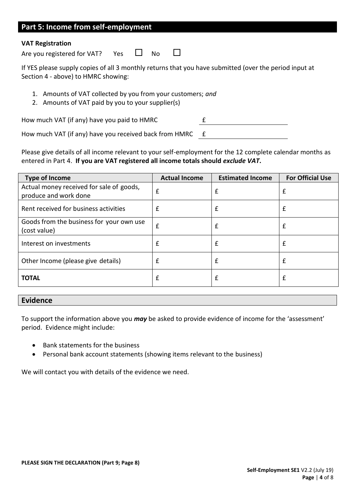# **Part 5: Income from self-employment**

#### **VAT Registration**

Are you registered for VAT? Yes  $\Box$  No  $\Box$ 

If YES please supply copies of all 3 monthly returns that you have submitted (over the period input at Section 4 - above) to HMRC showing:

- 1. Amounts of VAT collected by you from your customers; *and*
- 2. Amounts of VAT paid by you to your supplier(s)

How much VAT (if any) have you paid to HMRC E

How much VAT (if any) have you received back from HMRC  $E$ 

Please give details of all income relevant to your self-employment for the 12 complete calendar months as entered in Part 4. **If you are VAT registered all income totals should** *exclude VAT***.**

| <b>Type of Income</b>                                             | <b>Actual Income</b> | <b>Estimated Income</b> | <b>For Official Use</b> |
|-------------------------------------------------------------------|----------------------|-------------------------|-------------------------|
| Actual money received for sale of goods,<br>produce and work done | £                    | £                       | £                       |
| Rent received for business activities                             | £                    |                         | £                       |
| Goods from the business for your own use<br>(cost value)          | £                    |                         | £                       |
| Interest on investments                                           | £                    |                         | £                       |
| Other Income (please give details)                                | £                    | £                       | £                       |
| <b>TOTAL</b>                                                      | £                    |                         | £                       |

### **Evidence**

To support the information above you *may* be asked to provide evidence of income for the 'assessment' period. Evidence might include:

- Bank statements for the business
- Personal bank account statements (showing items relevant to the business)

We will contact you with details of the evidence we need.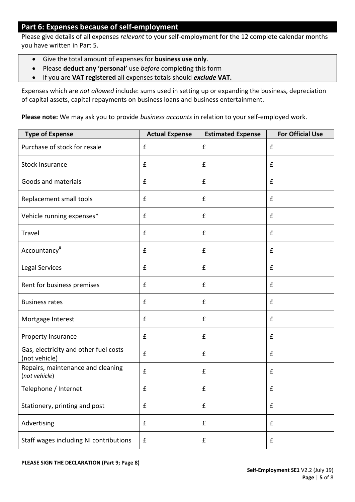## **Part 6: Expenses because of self-employment**

Please give details of all expenses *relevant* to your self-employment for the 12 complete calendar months you have written in Part 5.

- Give the total amount of expenses for **business use only**.
- Please **deduct any 'personal'** use *before* completing this form
- If you are **VAT registered** all expenses totals should *exclude* **VAT.**

Expenses which are *not allowed* include: sums used in setting up or expanding the business, depreciation of capital assets, capital repayments on business loans and business entertainment.

**Please note:** We may ask you to provide *business accounts* in relation to your self-employed work.

| <b>Type of Expense</b>                                 | <b>Actual Expense</b> | <b>Estimated Expense</b> | <b>For Official Use</b> |
|--------------------------------------------------------|-----------------------|--------------------------|-------------------------|
| Purchase of stock for resale                           | £                     | £                        | $\pmb{\mathsf{f}}$      |
| <b>Stock Insurance</b>                                 | £                     | $\pmb{\mathsf{f}}$       | $\pmb{\mathsf{f}}$      |
| Goods and materials                                    | £                     | $\pmb{\mathsf{f}}$       | $\pmb{\mathsf{f}}$      |
| Replacement small tools                                | £                     | $\pmb{\mathsf{f}}$       | $\pmb{\mathsf{f}}$      |
| Vehicle running expenses*                              | $\pmb{\mathsf{f}}$    | $\pmb{\mathsf{f}}$       | $\pmb{\mathsf{f}}$      |
| Travel                                                 | £                     | $\pmb{\mathsf{f}}$       | $\pmb{\mathsf{f}}$      |
| Accountancy <sup>#</sup>                               | $\pmb{\mathsf{f}}$    | $\pmb{\mathsf{f}}$       | $\pmb{\mathsf{f}}$      |
| <b>Legal Services</b>                                  | £                     | $\pmb{\mathsf{f}}$       | $\pmb{\mathsf{f}}$      |
| Rent for business premises                             | £                     | $\pmb{\mathsf{f}}$       | $\pmb{\mathsf{f}}$      |
| <b>Business rates</b>                                  | £                     | $\pmb{\mathsf{f}}$       | $\pmb{\mathsf{f}}$      |
| Mortgage Interest                                      | $\pmb{\mathsf{f}}$    | $\pmb{\mathsf{f}}$       | $\pmb{\mathsf{f}}$      |
| Property Insurance                                     | £                     | $\pmb{\mathsf{f}}$       | $\pmb{\mathsf{f}}$      |
| Gas, electricity and other fuel costs<br>(not vehicle) | $\pmb{\mathsf{f}}$    | $\pmb{\mathsf{f}}$       | $\pmb{\mathsf{f}}$      |
| Repairs, maintenance and cleaning<br>(not vehicle)     | $\pmb{\mathsf{f}}$    | $\pmb{\mathsf{f}}$       | $\pmb{\mathsf{f}}$      |
| Telephone / Internet                                   | $\pmb{\mathsf{f}}$    | $\pmb{\mathsf{f}}$       | $\pmb{\mathsf{f}}$      |
| Stationery, printing and post                          | £                     | $\mathbf f$              | £                       |
| Advertising                                            | $\pmb{\mathsf{f}}$    | $\pmb{\mathsf{f}}$       | $\pmb{\mathsf{f}}$      |
| Staff wages including NI contributions                 | $\pmb{\mathsf{f}}$    | $\pmb{\mathsf{f}}$       | $\pmb{\mathsf{f}}$      |

**PLEASE SIGN THE DECLARATION (Part 9; Page 8)**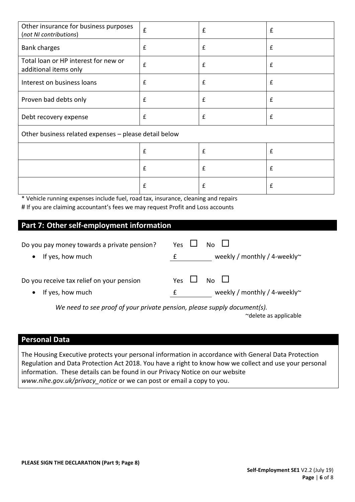| Other insurance for business purposes<br>(not NI contributions) | $\pmb{\mathsf{f}}$ | £            | $\mathbf f$ |
|-----------------------------------------------------------------|--------------------|--------------|-------------|
| <b>Bank charges</b>                                             | £                  | £            | £           |
| Total loan or HP interest for new or<br>additional items only   | $\pmb{\mathsf{f}}$ | £            | £           |
| Interest on business loans                                      | £                  | £            | £           |
| Proven bad debts only                                           | $\pmb{\mathsf{f}}$ | £            | £           |
| Debt recovery expense                                           | $\mathbf f$        | £            | £           |
| Other business related expenses - please detail below           |                    |              |             |
|                                                                 | £                  | £            | £           |
|                                                                 | £                  | $\mathbf{f}$ | £           |
|                                                                 | $\pmb{\mathsf{f}}$ | £            | £           |

\* Vehicle running expenses include fuel, road tax, insurance, cleaning and repairs # If you are claiming accountant's fees we may request Profit and Loss accounts

# **Part 7: Other self-employment information**

| Do you pay money towards a private pension? | Yes $\mathsf{L}$ | $No$ $\Box$                        |
|---------------------------------------------|------------------|------------------------------------|
| If yes, how much                            |                  | weekly / monthly / 4-weekly $\sim$ |
| Do you receive tax relief on your pension   | Yes LI           | $No$ $\Box$                        |
| If yes, how much                            |                  | weekly / monthly / 4-weekly $\sim$ |

*We need to see proof of your private pension, please supply document(s).*

~delete as applicable

### **Personal Data**

The Housing Executive protects your personal information in accordance with General Data Protection Regulation and Data Protection Act 2018. You have a right to know how we collect and use your personal information. These details can be found in our Privacy Notice on our website *www.nihe.gov.uk/privacy\_notice* or we can post or email a copy to you.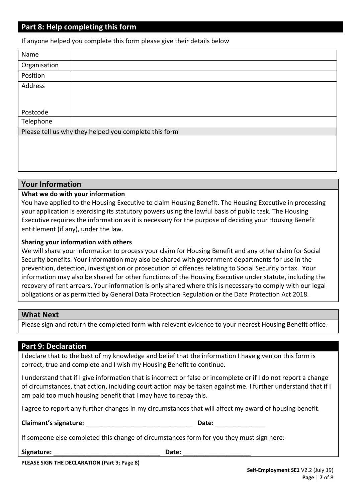## **Part 8: Help completing this form**

If anyone helped you complete this form please give their details below

| Name         |                                                       |
|--------------|-------------------------------------------------------|
| Organisation |                                                       |
| Position     |                                                       |
| Address      |                                                       |
|              |                                                       |
|              |                                                       |
| Postcode     |                                                       |
| Telephone    |                                                       |
|              | Please tell us why they helped you complete this form |
|              |                                                       |
|              |                                                       |

### **Your Information**

### **What we do with your information**

You have applied to the Housing Executive to claim Housing Benefit. The Housing Executive in processing your application is exercising its statutory powers using the lawful basis of public task. The Housing Executive requires the information as it is necessary for the purpose of deciding your Housing Benefit entitlement (if any), under the law.

#### **Sharing your information with others**

We will share your information to process your claim for Housing Benefit and any other claim for Social Security benefits. Your information may also be shared with government departments for use in the prevention, detection, investigation or prosecution of offences relating to Social Security or tax. Your information may also be shared for other functions of the Housing Executive under statute, including the recovery of rent arrears. Your information is only shared where this is necessary to comply with our legal obligations or as permitted by General Data Protection Regulation or the Data Protection Act 2018.

### **What Next**

Please sign and return the completed form with relevant evidence to your nearest Housing Benefit office.

### **Part 9: Declaration**

I declare that to the best of my knowledge and belief that the information I have given on this form is correct, true and complete and I wish my Housing Benefit to continue.

I understand that if I give information that is incorrect or false or incomplete or if I do not report a change of circumstances, that action, including court action may be taken against me. I further understand that if I am paid too much housing benefit that I may have to repay this.

I agree to report any further changes in my circumstances that will affect my award of housing benefit.

**Claimant's signature:** \_\_\_\_\_\_\_\_\_\_\_\_\_\_\_\_\_\_\_\_\_\_\_\_\_\_\_\_\_\_ **Date:** \_\_\_\_\_\_\_\_\_\_\_\_\_\_

| ٠      |  |  |
|--------|--|--|
| v<br>v |  |  |

If someone else completed this change of circumstances form for you they must sign here:

Signature: **Example 20 and 20 and 20 and 20 and 20 and 20 and 20 and 20 and 20 and 20 and 20 and 20 and 20 and 20 and 20 and 20 and 20 and 20 and 20 and 20 and 20 and 20 and 20 and 20 and 20 and 20 and 20 and 20 and 20 and** 

**PLEASE SIGN THE DECLARATION (Part 9; Page 8)**